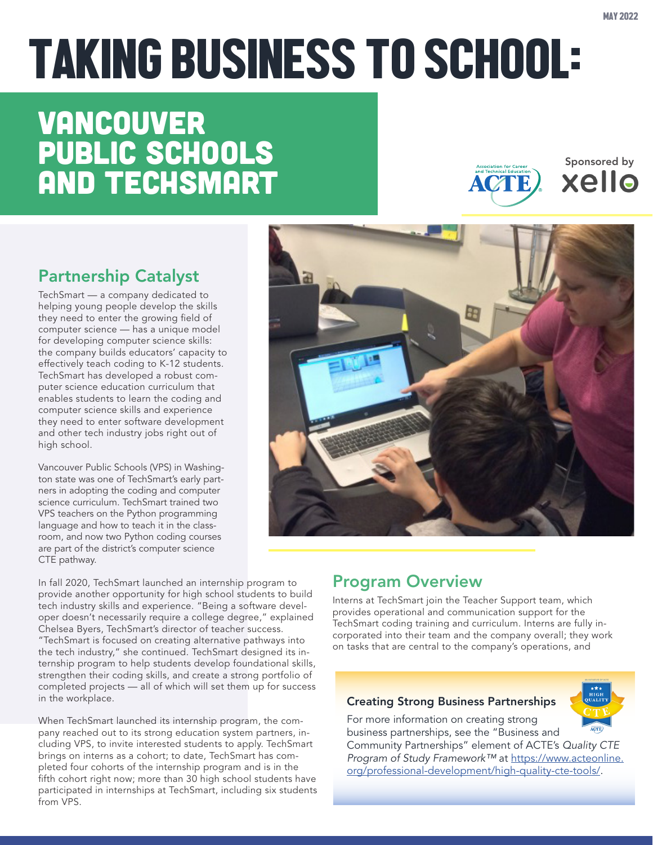Sponsored by

xello

# TAKING BUSINESS TO SCHOOL:

# Vancouver Public Schools and TechSmart

Partnership Catalyst

TechSmart — a company dedicated to helping young people develop the skills they need to enter the growing field of computer science — has a unique model for developing computer science skills: the company builds educators' capacity to effectively teach coding to K-12 students. TechSmart has developed a robust computer science education curriculum that enables students to learn the coding and computer science skills and experience they need to enter software development and other tech industry jobs right out of high school.

Vancouver Public Schools (VPS) in Washington state was one of TechSmart's early partners in adopting the coding and computer science curriculum. TechSmart trained two VPS teachers on the Python programming language and how to teach it in the classroom, and now two Python coding courses are part of the district's computer science CTE pathway.



**ACTE** 

In fall 2020, TechSmart launched an internship program to provide another opportunity for high school students to build tech industry skills and experience. "Being a software developer doesn't necessarily require a college degree," explained Chelsea Byers, TechSmart's director of teacher success. "TechSmart is focused on creating alternative pathways into the tech industry," she continued. TechSmart designed its internship program to help students develop foundational skills, strengthen their coding skills, and create a strong portfolio of completed projects — all of which will set them up for success in the workplace.

When TechSmart launched its internship program, the company reached out to its strong education system partners, including VPS, to invite interested students to apply. TechSmart brings on interns as a cohort; to date, TechSmart has completed four cohorts of the internship program and is in the fifth cohort right now; more than 30 high school students have participated in internships at TechSmart, including six students from VPS.

# Program Overview

Interns at TechSmart join the Teacher Support team, which provides operational and communication support for the TechSmart coding training and curriculum. Interns are fully incorporated into their team and the company overall; they work on tasks that are central to the company's operations, and

### Creating Strong Business Partnerships

For more information on creating strong business partnerships, see the "Business and



Community Partnerships" element of ACTE's *Quality CTE Program of Study Framework™* at [https://www.acteonline.](https://www.acteonline.org/professional-development/high-quality-cte-tools/) [org/professional-development/high-quality-cte-tools/](https://www.acteonline.org/professional-development/high-quality-cte-tools/).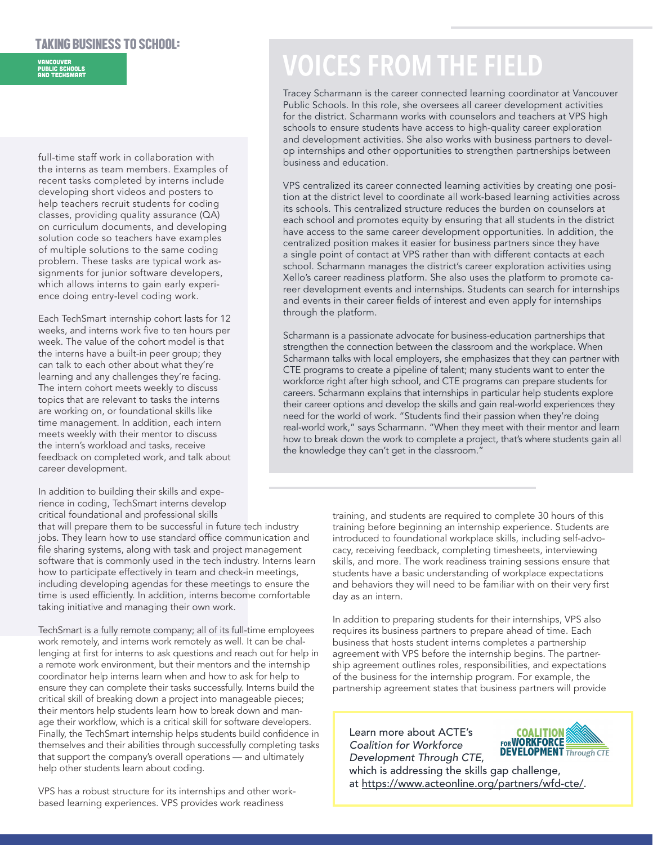#### TAKING BUSINESS TO SCHOOL:

## Vancouver Public Schools and TechSmart

full-time staff work in collaboration with the interns as team members. Examples of recent tasks completed by interns include developing short videos and posters to help teachers recruit students for coding classes, providing quality assurance (QA) on curriculum documents, and developing solution code so teachers have examples of multiple solutions to the same coding problem. These tasks are typical work assignments for junior software developers, which allows interns to gain early experience doing entry-level coding work.

Each TechSmart internship cohort lasts for 12 weeks, and interns work five to ten hours per week. The value of the cohort model is that the interns have a built-in peer group; they can talk to each other about what they're learning and any challenges they're facing. The intern cohort meets weekly to discuss topics that are relevant to tasks the interns are working on, or foundational skills like time management. In addition, each intern meets weekly with their mentor to discuss the intern's workload and tasks, receive feedback on completed work, and talk about career development.

In addition to building their skills and experience in coding, TechSmart interns develop critical foundational and professional skills

that will prepare them to be successful in future tech industry jobs. They learn how to use standard office communication and file sharing systems, along with task and project management software that is commonly used in the tech industry. Interns learn how to participate effectively in team and check-in meetings, including developing agendas for these meetings to ensure the time is used efficiently. In addition, interns become comfortable taking initiative and managing their own work.

TechSmart is a fully remote company; all of its full-time employees work remotely, and interns work remotely as well. It can be challenging at first for interns to ask questions and reach out for help in a remote work environment, but their mentors and the internship coordinator help interns learn when and how to ask for help to ensure they can complete their tasks successfully. Interns build the critical skill of breaking down a project into manageable pieces; their mentors help students learn how to break down and manage their workflow, which is a critical skill for software developers. Finally, the TechSmart internship helps students build confidence in themselves and their abilities through successfully completing tasks that support the company's overall operations — and ultimately help other students learn about coding.

VPS has a robust structure for its internships and other workbased learning experiences. VPS provides work readiness

# **VOICES FROM THE FIELD**

Tracey Scharmann is the career connected learning coordinator at Vancouver Public Schools. In this role, she oversees all career development activities for the district. Scharmann works with counselors and teachers at VPS high schools to ensure students have access to high-quality career exploration and development activities. She also works with business partners to develop internships and other opportunities to strengthen partnerships between business and education.

VPS centralized its career connected learning activities by creating one position at the district level to coordinate all work-based learning activities across its schools. This centralized structure reduces the burden on counselors at each school and promotes equity by ensuring that all students in the district have access to the same career development opportunities. In addition, the centralized position makes it easier for business partners since they have a single point of contact at VPS rather than with different contacts at each school. Scharmann manages the district's career exploration activities using Xello's career readiness platform. She also uses the platform to promote career development events and internships. Students can search for internships and events in their career fields of interest and even apply for internships through the platform.

Scharmann is a passionate advocate for business-education partnerships that strengthen the connection between the classroom and the workplace. When Scharmann talks with local employers, she emphasizes that they can partner with CTE programs to create a pipeline of talent; many students want to enter the workforce right after high school, and CTE programs can prepare students for careers. Scharmann explains that internships in particular help students explore their career options and develop the skills and gain real-world experiences they need for the world of work. "Students find their passion when they're doing real-world work," says Scharmann. "When they meet with their mentor and learn how to break down the work to complete a project, that's where students gain all the knowledge they can't get in the classroom."

> training, and students are required to complete 30 hours of this training before beginning an internship experience. Students are introduced to foundational workplace skills, including self-advocacy, receiving feedback, completing timesheets, interviewing skills, and more. The work readiness training sessions ensure that students have a basic understanding of workplace expectations and behaviors they will need to be familiar with on their very first day as an intern.

In addition to preparing students for their internships, VPS also requires its business partners to prepare ahead of time. Each business that hosts student interns completes a partnership agreement with VPS before the internship begins. The partnership agreement outlines roles, responsibilities, and expectations of the business for the internship program. For example, the partnership agreement states that business partners will provide

Learn more about ACTE's *Coalition for Workforce Development Through CTE*,



which is addressing the skills gap challenge, at<https://www.acteonline.org/partners/wfd-cte/>.